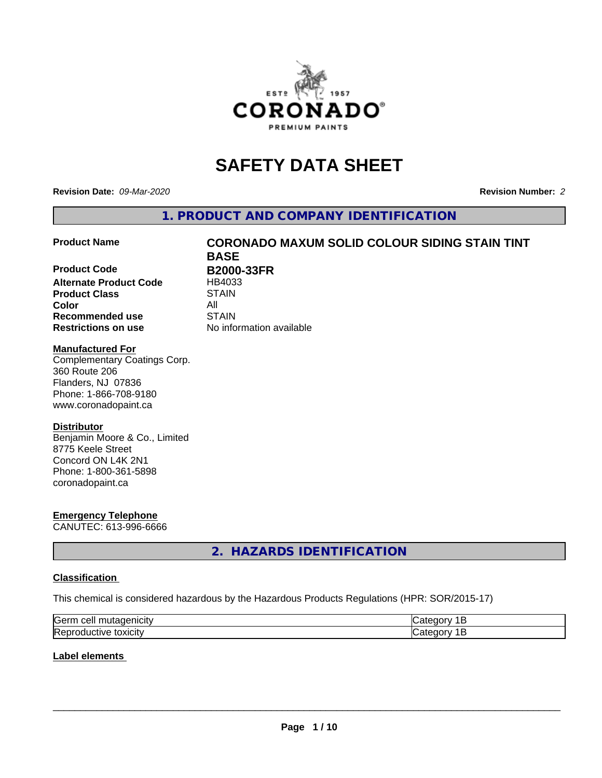

# **SAFETY DATA SHEET**

**Revision Date:** *09-Mar-2020* **Revision Number:** *2*

**1. PRODUCT AND COMPANY IDENTIFICATION**

**Product Code B2000-33FR Alternate Product Code** HB4033 **Product Class STAIN Color** All **Recommended use STAIN Restrictions on use** No information available

# **Product Name CORONADO MAXUM SOLID COLOUR SIDING STAIN TINT BASE**

#### **Manufactured For**

Complementary Coatings Corp. 360 Route 206 Flanders, NJ 07836 Phone: 1-866-708-9180 www.coronadopaint.ca

#### **Distributor**

Benjamin Moore & Co., Limited 8775 Keele Street Concord ON L4K 2N1 Phone: 1-800-361-5898 coronadopaint.ca

# **Emergency Telephone**

CANUTEC: 613-996-6666

# **2. HAZARDS IDENTIFICATION**

#### **Classification**

This chemical is considered hazardous by the Hazardous Products Regulations (HPR: SOR/2015-17)

| <b>Serr</b><br>--- |  |
|--------------------|--|
| Rep<br>\JARJI.     |  |

#### **Label elements**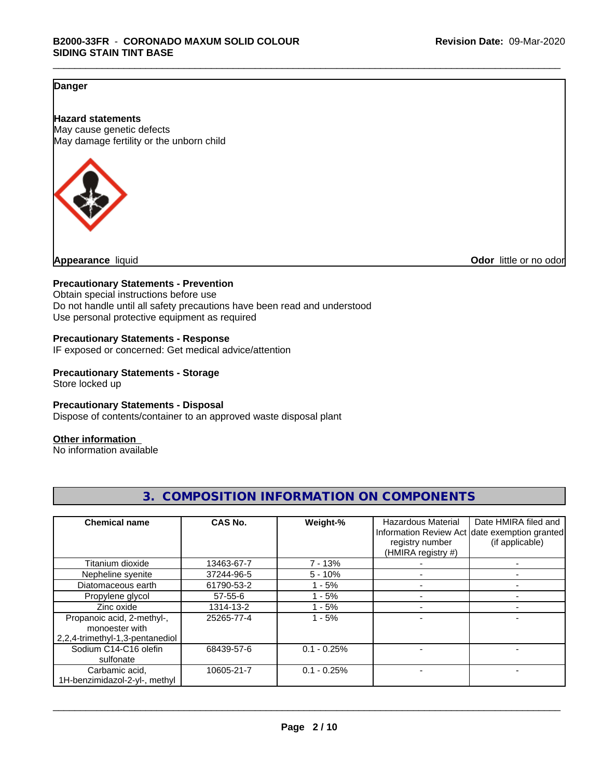## **Danger**

**Hazard statements** May cause genetic defects May damage fertility or the unborn child



**Appearance** liquid **Odor 11** and **Odor 11** and **Odor 11** and **Odor 11** and **Odor Odor 1** and **Odor 1** and **Odor 1** and **Odor 1** and **Odor 1** and **1** and **1** and **1** and **1** and **1** and **1** and **1** and **1** and

#### **Precautionary Statements - Prevention**

Obtain special instructions before use Do not handle until all safety precautions have been read and understood Use personal protective equipment as required

#### **Precautionary Statements - Response**

IF exposed or concerned: Get medical advice/attention

#### **Precautionary Statements - Storage**

Store locked up

#### **Precautionary Statements - Disposal**

Dispose of contents/container to an approved waste disposal plant

#### **Other information**

No information available

| <b>Chemical name</b>                                                            | CAS No.    | Weight-%      | Hazardous Material<br>registry number<br>(HMIRA registry #) | Date HMIRA filed and<br>Information Review Act date exemption granted<br>(if applicable) |
|---------------------------------------------------------------------------------|------------|---------------|-------------------------------------------------------------|------------------------------------------------------------------------------------------|
| Titanium dioxide                                                                | 13463-67-7 | $7 - 13%$     |                                                             |                                                                                          |
| Nepheline syenite                                                               | 37244-96-5 | $5 - 10%$     |                                                             |                                                                                          |
| Diatomaceous earth                                                              | 61790-53-2 | $1 - 5%$      |                                                             |                                                                                          |
| Propylene glycol                                                                | 57-55-6    | $1 - 5%$      |                                                             |                                                                                          |
| Zinc oxide                                                                      | 1314-13-2  | - 5%          |                                                             |                                                                                          |
| Propanoic acid, 2-methyl-,<br>monoester with<br>2,2,4-trimethyl-1,3-pentanediol | 25265-77-4 | $1 - 5%$      |                                                             |                                                                                          |
| Sodium C14-C16 olefin<br>sulfonate                                              | 68439-57-6 | $0.1 - 0.25%$ |                                                             |                                                                                          |
| Carbamic acid,<br>1H-benzimidazol-2-yl-, methyl                                 | 10605-21-7 | $0.1 - 0.25%$ |                                                             |                                                                                          |

# **3. COMPOSITION INFORMATION ON COMPONENTS**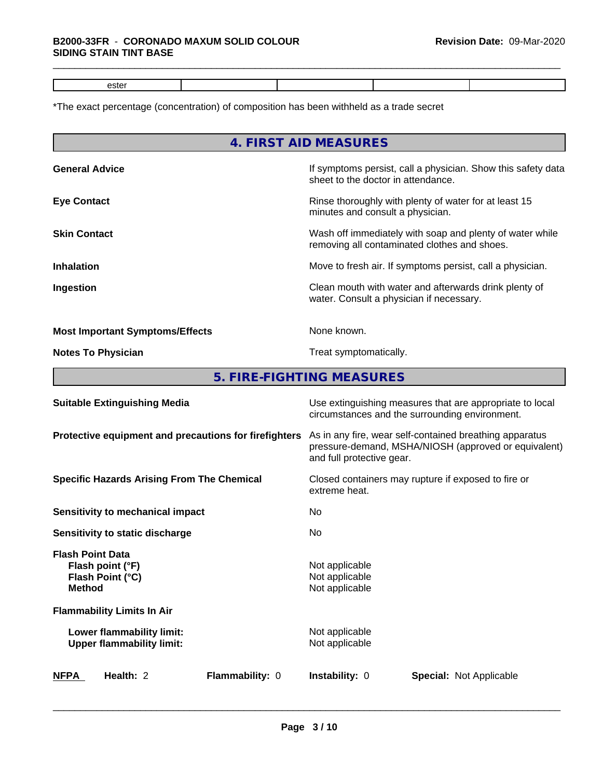# \*The exact percentage (concentration) of composition has been withheld as a trade secret

|                                                                                  | 4. FIRST AID MEASURES                                                                                                                        |  |  |
|----------------------------------------------------------------------------------|----------------------------------------------------------------------------------------------------------------------------------------------|--|--|
| <b>General Advice</b>                                                            | If symptoms persist, call a physician. Show this safety data<br>sheet to the doctor in attendance.                                           |  |  |
| <b>Eye Contact</b>                                                               | Rinse thoroughly with plenty of water for at least 15<br>minutes and consult a physician.                                                    |  |  |
| <b>Skin Contact</b>                                                              | Wash off immediately with soap and plenty of water while<br>removing all contaminated clothes and shoes.                                     |  |  |
| <b>Inhalation</b>                                                                | Move to fresh air. If symptoms persist, call a physician.                                                                                    |  |  |
| Ingestion                                                                        | Clean mouth with water and afterwards drink plenty of<br>water. Consult a physician if necessary.                                            |  |  |
| <b>Most Important Symptoms/Effects</b>                                           | None known.                                                                                                                                  |  |  |
| <b>Notes To Physician</b>                                                        | Treat symptomatically.                                                                                                                       |  |  |
|                                                                                  | 5. FIRE-FIGHTING MEASURES                                                                                                                    |  |  |
| <b>Suitable Extinguishing Media</b>                                              | Use extinguishing measures that are appropriate to local<br>circumstances and the surrounding environment.                                   |  |  |
| Protective equipment and precautions for firefighters                            | As in any fire, wear self-contained breathing apparatus<br>pressure-demand, MSHA/NIOSH (approved or equivalent)<br>and full protective gear. |  |  |
| <b>Specific Hazards Arising From The Chemical</b>                                | Closed containers may rupture if exposed to fire or<br>extreme heat.                                                                         |  |  |
| <b>Sensitivity to mechanical impact</b>                                          | No                                                                                                                                           |  |  |
| Sensitivity to static discharge                                                  | No                                                                                                                                           |  |  |
| <b>Flash Point Data</b><br>Flash point (°F)<br>Flash Point (°C)<br><b>Method</b> | Not applicable<br>Not applicable<br>Not applicable                                                                                           |  |  |
| <b>Flammability Limits In Air</b>                                                |                                                                                                                                              |  |  |
| Lower flammability limit:<br><b>Upper flammability limit:</b>                    | Not applicable<br>Not applicable                                                                                                             |  |  |
| Health: 2<br>Flammability: 0<br><u>NFPA</u>                                      | Instability: 0<br><b>Special: Not Applicable</b>                                                                                             |  |  |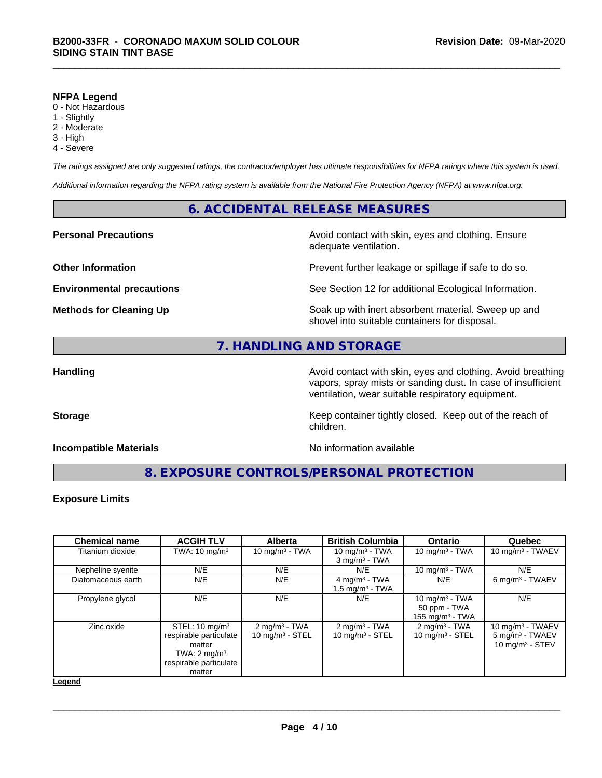#### **NFPA Legend**

- 0 Not Hazardous
- 1 Slightly
- 2 Moderate
- 3 High
- 4 Severe

*The ratings assigned are only suggested ratings, the contractor/employer has ultimate responsibilities for NFPA ratings where this system is used.*

*Additional information regarding the NFPA rating system is available from the National Fire Protection Agency (NFPA) at www.nfpa.org.*

#### **6. ACCIDENTAL RELEASE MEASURES**

#### **Personal Precautions Avoid contact with skin, eyes and clothing. Ensure** Avoid contact with skin, eyes and clothing. Ensure

**Other Information Discription Prevent further leakage or spillage if safe to do so.** 

**Environmental precautions** See Section 12 for additional Ecological Information.

**Methods for Cleaning Up Example 20 Soak** up with inert absorbent material. Sweep up and shovel into suitable containers for disposal.

## **7. HANDLING AND STORAGE**

**Handling Handling Avoid contact with skin, eyes and clothing. Avoid breathing Handling Avoid breathing Avoid breathing** vapors, spray mists or sanding dust. In case of insufficient ventilation, wear suitable respiratory equipment.

**Storage Keep container tightly closed. Keep out of the reach of Keep** container tightly closed. Keep out of the reach of

#### **Incompatible Materials** Noinformation available

adequate ventilation.

**8. EXPOSURE CONTROLS/PERSONAL PROTECTION**

children.

#### **Exposure Limits**

| <b>Chemical name</b> | <b>ACGIH TLV</b>                                                                                                             | <b>Alberta</b>                                 | <b>British Columbia</b>                                   | <b>Ontario</b>                                                   | Quebec                                                                  |
|----------------------|------------------------------------------------------------------------------------------------------------------------------|------------------------------------------------|-----------------------------------------------------------|------------------------------------------------------------------|-------------------------------------------------------------------------|
| Titanium dioxide     | TWA: $10 \text{ mg/m}^3$                                                                                                     | 10 mg/m $3 - TWA$                              | 10 mg/m $3$ - TWA<br>$3$ mg/m <sup>3</sup> - TWA          | 10 mg/m $3$ - TWA                                                | 10 mg/m $3$ - TWAEV                                                     |
| Nepheline syenite    | N/E                                                                                                                          | N/E                                            | N/E                                                       | 10 $mq/m3$ - TWA                                                 | N/E                                                                     |
| Diatomaceous earth   | N/E                                                                                                                          | N/E                                            | $4$ mg/m <sup>3</sup> - TWA<br>$1.5 \text{ mg/m}^3$ - TWA | N/E                                                              | 6 mg/m <sup>3</sup> - TWAEV                                             |
| Propylene glycol     | N/E                                                                                                                          | N/E                                            | N/E                                                       | 10 mg/m $3$ - TWA<br>50 ppm - TWA<br>155 mg/m <sup>3</sup> - TWA | N/E                                                                     |
| Zinc oxide           | STEL: $10 \text{ mg/m}^3$<br>respirable particulate<br>matter<br>TWA: $2 \text{ mg/m}^3$<br>respirable particulate<br>matter | $2 \text{ mg/m}^3$ - TWA<br>10 mg/m $3 -$ STEL | $2 \text{ mg/m}^3$ - TWA<br>10 mg/m $3 -$ STEL            | $2 \text{ mg/m}^3$ - TWA<br>10 $mg/m3$ - STEL                    | 10 mg/m $3$ - TWAEV<br>$5 \text{ mg/m}^3$ - TWAEV<br>10 mg/m $3 -$ STEV |

**Legend**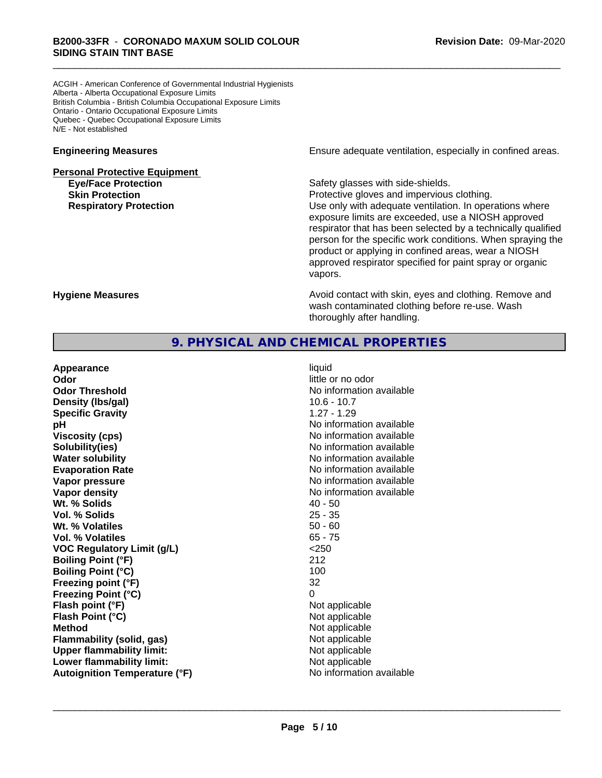ACGIH - American Conference of Governmental Industrial Hygienists Alberta - Alberta Occupational Exposure Limits British Columbia - British Columbia Occupational Exposure Limits Ontario - Ontario Occupational Exposure Limits Quebec - Quebec Occupational Exposure Limits N/E - Not established

# **Personal Protective Equipment Eye/Face Protection Safety glasses with side-shields.**

**Engineering Measures Engineering Measures Engineering Measures Ensure adequate ventilation, especially in confined areas.** 

**Skin Protection Protection Protective gloves and impervious clothing. Respiratory Protection Exercise 2018** Use only with adequate ventilation. In operations where exposure limits are exceeded, use a NIOSH approved respirator that has been selected by a technically qualified person for the specific work conditions. When spraying the product or applying in confined areas, wear a NIOSH approved respirator specified for paint spray or organic vapors.

**Hygiene Measures Avoid contact with skin, eyes and clothing. Remove and Avoid contact with skin, eyes and clothing. Remove and Avoid contact with skin, eyes and clothing. Remove and** wash contaminated clothing before re-use. Wash thoroughly after handling.

# **9. PHYSICAL AND CHEMICAL PROPERTIES**

| Appearance                           | liquid                   |
|--------------------------------------|--------------------------|
| Odor                                 | little or no odor        |
| <b>Odor Threshold</b>                | No information available |
| Density (Ibs/gal)                    | $10.6 - 10.7$            |
| <b>Specific Gravity</b>              | $1.27 - 1.29$            |
| рH                                   | No information available |
| <b>Viscosity (cps)</b>               | No information available |
| Solubility(ies)                      | No information available |
| <b>Water solubility</b>              | No information available |
| <b>Evaporation Rate</b>              | No information available |
| Vapor pressure                       | No information available |
| Vapor density                        | No information available |
| Wt. % Solids                         | $40 - 50$                |
| Vol. % Solids                        | $25 - 35$                |
| Wt. % Volatiles                      | $50 - 60$                |
| Vol. % Volatiles                     | $65 - 75$                |
| <b>VOC Regulatory Limit (g/L)</b>    | < 250                    |
| <b>Boiling Point (°F)</b>            | 212                      |
| <b>Boiling Point (°C)</b>            | 100                      |
| Freezing point (°F)                  | 32                       |
| <b>Freezing Point (°C)</b>           | $\Omega$                 |
| Flash point (°F)                     | Not applicable           |
| Flash Point (°C)                     | Not applicable           |
| <b>Method</b>                        | Not applicable           |
| Flammability (solid, gas)            | Not applicable           |
| <b>Upper flammability limit:</b>     | Not applicable           |
| Lower flammability limit:            | Not applicable           |
| <b>Autoignition Temperature (°F)</b> | No information available |
|                                      |                          |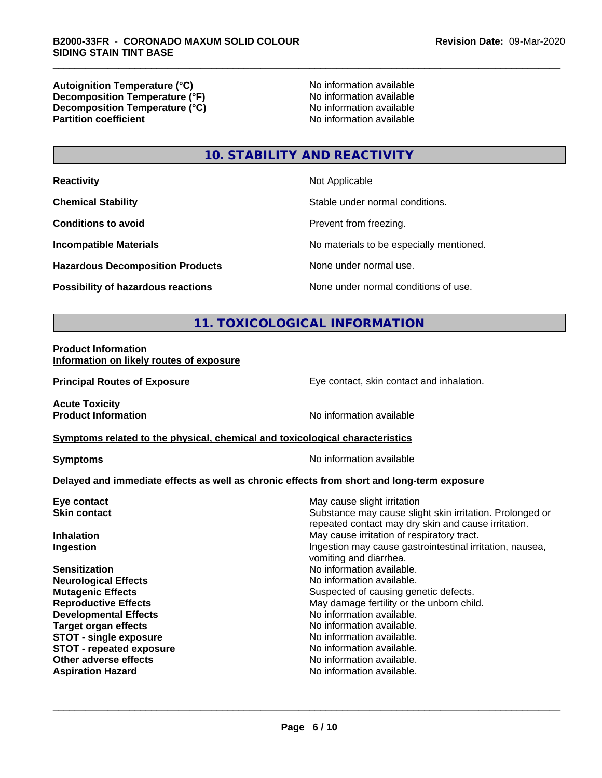**Autoignition Temperature (°C)**<br> **Decomposition Temperature (°F)** No information available **Decomposition Temperature (°F)**<br> **Decomposition Temperature (°C)**<br>
No information available **Decomposition Temperature (°C) Partition coefficient** 

# **10. STABILITY AND REACTIVITY**

| <b>Reactivity</b>                         | Not Applicable                           |
|-------------------------------------------|------------------------------------------|
| <b>Chemical Stability</b>                 | Stable under normal conditions.          |
| <b>Conditions to avoid</b>                | Prevent from freezing.                   |
| <b>Incompatible Materials</b>             | No materials to be especially mentioned. |
| <b>Hazardous Decomposition Products</b>   | None under normal use.                   |
| <b>Possibility of hazardous reactions</b> | None under normal conditions of use.     |

# **11. TOXICOLOGICAL INFORMATION**

#### **Product Information Information on likely routes of exposure**

**Principal Routes of Exposure Exposure** Eye contact, skin contact and inhalation.

**Acute Toxicity** 

**Product Information** No information available

#### **Symptoms** related to the physical, chemical and toxicological characteristics

**Symptoms** No information available

#### **Delayed and immediate effects as well as chronic effects from short and long-term exposure**

| Eye contact                     | May cause slight irritation                                                                                     |  |  |
|---------------------------------|-----------------------------------------------------------------------------------------------------------------|--|--|
| <b>Skin contact</b>             | Substance may cause slight skin irritation. Prolonged or<br>repeated contact may dry skin and cause irritation. |  |  |
| <b>Inhalation</b>               | May cause irritation of respiratory tract.                                                                      |  |  |
| Ingestion                       | Ingestion may cause gastrointestinal irritation, nausea,<br>vomiting and diarrhea.                              |  |  |
| <b>Sensitization</b>            | No information available.                                                                                       |  |  |
| <b>Neurological Effects</b>     | No information available.                                                                                       |  |  |
| <b>Mutagenic Effects</b>        | Suspected of causing genetic defects.                                                                           |  |  |
| <b>Reproductive Effects</b>     | May damage fertility or the unborn child.                                                                       |  |  |
| <b>Developmental Effects</b>    | No information available.                                                                                       |  |  |
| Target organ effects            | No information available.                                                                                       |  |  |
| <b>STOT - single exposure</b>   | No information available.                                                                                       |  |  |
| <b>STOT - repeated exposure</b> | No information available.                                                                                       |  |  |
| Other adverse effects           | No information available.                                                                                       |  |  |
| <b>Aspiration Hazard</b>        | No information available.                                                                                       |  |  |
|                                 |                                                                                                                 |  |  |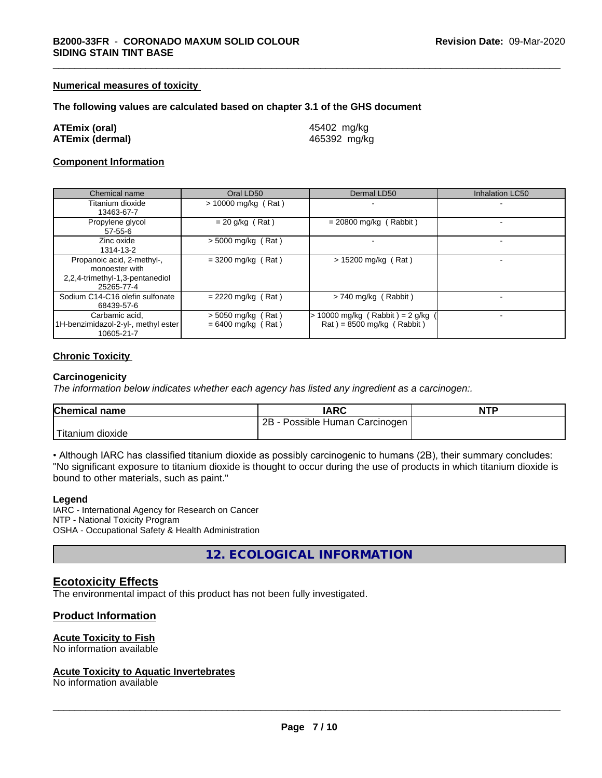#### **Numerical measures of toxicity**

#### **The following values are calculated based on chapter 3.1 of the GHS document**

| ATEmix (oral)   | 45402 mg/kg  |
|-----------------|--------------|
| ATEmix (dermal) | 465392 mg/kg |

#### **Component Information**

| Chemical name                                                                                 | Oral LD50                                    | Dermal LD50                                                    | Inhalation LC50 |
|-----------------------------------------------------------------------------------------------|----------------------------------------------|----------------------------------------------------------------|-----------------|
| Titanium dioxide<br>13463-67-7                                                                | $> 10000$ mg/kg (Rat)                        |                                                                |                 |
| Propylene glycol<br>$57 - 55 - 6$                                                             | $= 20$ g/kg (Rat)                            | $= 20800$ mg/kg (Rabbit)                                       |                 |
| Zinc oxide<br>1314-13-2                                                                       | $>$ 5000 mg/kg (Rat)                         |                                                                |                 |
| Propanoic acid, 2-methyl-,<br>monoester with<br>2,2,4-trimethyl-1,3-pentanediol<br>25265-77-4 | $=$ 3200 mg/kg (Rat)                         | $> 15200$ mg/kg (Rat)                                          |                 |
| Sodium C14-C16 olefin sulfonate<br>68439-57-6                                                 | $= 2220$ mg/kg (Rat)                         | > 740 mg/kg (Rabbit)                                           |                 |
| Carbamic acid,<br>1H-benzimidazol-2-yl-, methyl ester<br>10605-21-7                           | $>$ 5050 mg/kg (Rat)<br>$= 6400$ mg/kg (Rat) | 10000 mg/kg $(Rabbit) = 2 g/kg$<br>$Rat$ = 8500 mg/kg (Rabbit) |                 |

#### **Chronic Toxicity**

#### **Carcinogenicity**

*The information below indicateswhether each agency has listed any ingredient as a carcinogen:.*

| <b>Chemical name</b>   | <b>IARC</b>                     | <b>NTP</b> |
|------------------------|---------------------------------|------------|
|                        | 2B<br>Possible Human Carcinogen |            |
| Titanium J<br>⊧dioxide |                                 |            |

• Although IARC has classified titanium dioxide as possibly carcinogenic to humans (2B), their summary concludes: "No significant exposure to titanium dioxide is thought to occur during the use of products in which titanium dioxide is bound to other materials, such as paint."

#### **Legend**

IARC - International Agency for Research on Cancer NTP - National Toxicity Program OSHA - Occupational Safety & Health Administration

**12. ECOLOGICAL INFORMATION**

#### **Ecotoxicity Effects**

The environmental impact of this product has not been fully investigated.

#### **Product Information**

#### **Acute Toxicity to Fish**

No information available

#### **Acute Toxicity to Aquatic Invertebrates**

No information available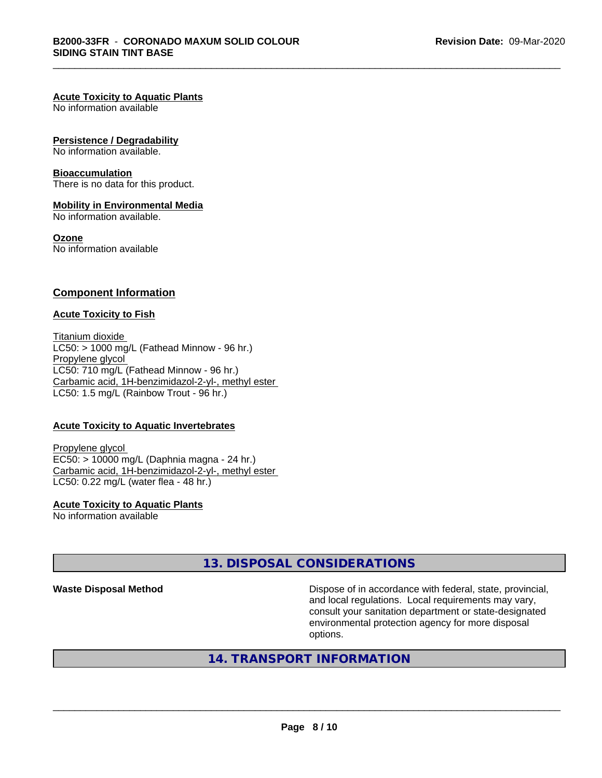#### **Acute Toxicity to Aquatic Plants**

No information available

#### **Persistence / Degradability**

No information available.

#### **Bioaccumulation**

There is no data for this product.

#### **Mobility in Environmental Media**

No information available.

#### **Ozone**

No information available

#### **Component Information**

#### **Acute Toxicity to Fish**

Titanium dioxide  $LC50:$  > 1000 mg/L (Fathead Minnow - 96 hr.) Propylene glycol LC50: 710 mg/L (Fathead Minnow - 96 hr.) Carbamic acid, 1H-benzimidazol-2-yl-, methyl ester LC50: 1.5 mg/L (Rainbow Trout - 96 hr.)

#### **Acute Toxicity to Aquatic Invertebrates**

Propylene glycol EC50: > 10000 mg/L (Daphnia magna - 24 hr.) Carbamic acid, 1H-benzimidazol-2-yl-, methyl ester LC50: 0.22 mg/L (water flea - 48 hr.)

**Acute Toxicity to Aquatic Plants** No information available

# **13. DISPOSAL CONSIDERATIONS**

**Waste Disposal Method Dispose of in accordance with federal, state, provincial,** and local regulations. Local requirements may vary, consult your sanitation department or state-designated environmental protection agency for more disposal options.

# **14. TRANSPORT INFORMATION**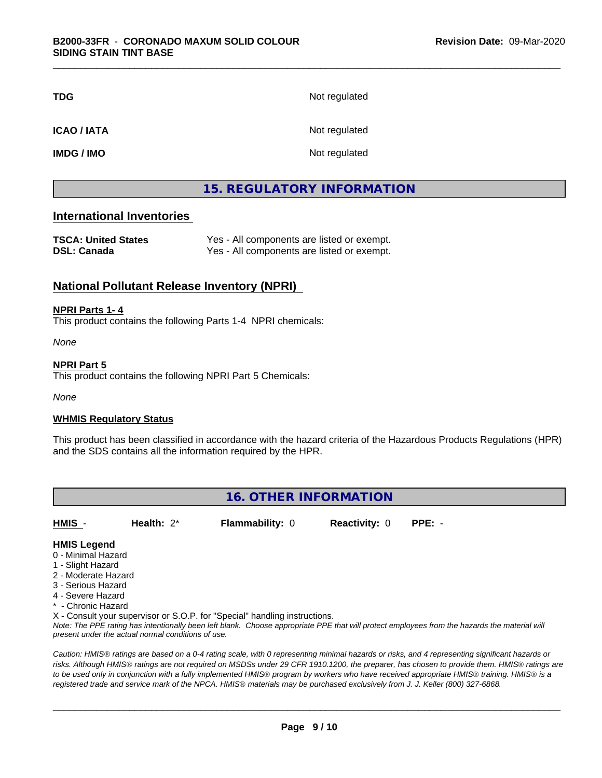| <b>TDG</b>        | Not regulated |
|-------------------|---------------|
| <b>ICAO/IATA</b>  | Not regulated |
| <b>IMDG / IMO</b> | Not regulated |

# **15. REGULATORY INFORMATION**

## **International Inventories**

| <b>TSCA: United States</b> | Yes - All components are listed or exempt. |
|----------------------------|--------------------------------------------|
| <b>DSL: Canada</b>         | Yes - All components are listed or exempt. |

## **National Pollutant Release Inventory (NPRI)**

#### **NPRI Parts 1- 4**

This product contains the following Parts 1-4 NPRI chemicals:

*None*

#### **NPRI Part 5**

This product contains the following NPRI Part 5 Chemicals:

*None*

#### **WHMIS Regulatory Status**

This product has been classified in accordance with the hazard criteria of the Hazardous Products Regulations (HPR) and the SDS contains all the information required by the HPR.

# **16. OTHER INFORMATION**

**HMIS** - **Health:** 2\* **Flammability:** 0 **Reactivity:** 0 **PPE:** -

#### **HMIS Legend**

- 0 Minimal Hazard
- 1 Slight Hazard
- 2 Moderate Hazard
- 3 Serious Hazard
- 4 Severe Hazard
- \* Chronic Hazard
- X Consult your supervisor or S.O.P. for "Special" handling instructions.

*Note: The PPE rating has intentionally been left blank. Choose appropriate PPE that will protect employees from the hazards the material will present under the actual normal conditions of use.*

*Caution: HMISÒ ratings are based on a 0-4 rating scale, with 0 representing minimal hazards or risks, and 4 representing significant hazards or risks. Although HMISÒ ratings are not required on MSDSs under 29 CFR 1910.1200, the preparer, has chosen to provide them. HMISÒ ratings are to be used only in conjunction with a fully implemented HMISÒ program by workers who have received appropriate HMISÒ training. HMISÒ is a registered trade and service mark of the NPCA. HMISÒ materials may be purchased exclusively from J. J. Keller (800) 327-6868.*